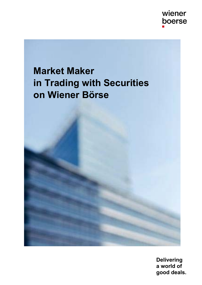

# **Market Maker in Trading with Securities on Wiener Börse**

**Delivering a world of good deals.**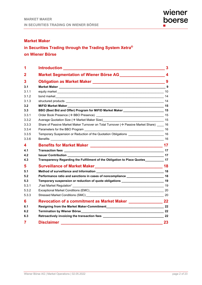## **Market Maker**

## **in Securities Trading through the Trading System Xetra® on Wiener Börse**

| 1              |                                                                                                                                                                                                                                | 3  |
|----------------|--------------------------------------------------------------------------------------------------------------------------------------------------------------------------------------------------------------------------------|----|
| $\mathbf 2$    |                                                                                                                                                                                                                                |    |
| 3              |                                                                                                                                                                                                                                | 9  |
| 3.1            | Market Maker 2008 2014 12:00 10:00 10:00 10:00 10:00 10:00 10:00 10:00 10:00 10:00 10:00 10:00 10:00 10:00 10:00 10:00 10:00 10:00 10:00 10:00 10:00 10:00 10:00 10:00 10:00 10:00 10:00 10:00 10:00 10:00 10:00 10:00 10:00 1 |    |
| 3.1.1          |                                                                                                                                                                                                                                |    |
| 3.1.2          |                                                                                                                                                                                                                                |    |
| 3.1.3          |                                                                                                                                                                                                                                |    |
| 3.2            |                                                                                                                                                                                                                                |    |
| 3.3            | BBO (Best Bid and Offer) Program for MiFID Market Maker _________________________ 15                                                                                                                                           |    |
| 3.3.1          |                                                                                                                                                                                                                                |    |
| 3.3.2          |                                                                                                                                                                                                                                |    |
| 3.3.3          | Share of Passive Market Maker Turnover on Total Turnover $(\rightarrow)$ Passive Market Share) 16                                                                                                                              |    |
| 3.3.4          |                                                                                                                                                                                                                                |    |
| 3.3.5          | Temporary Suspension or Reduction of the Quotation Obligations ________________________ 16                                                                                                                                     |    |
| 3.3.6          |                                                                                                                                                                                                                                |    |
| 4              |                                                                                                                                                                                                                                |    |
| 4.1            |                                                                                                                                                                                                                                |    |
| 4.2            | $\overline{\phantom{a}}$ 17<br><b>Issuer Contribution</b>                                                                                                                                                                      |    |
| 4.3            | Transparency Regarding the Fulfillment of the Obligation to Place Quotes___________ 17                                                                                                                                         |    |
| 5              |                                                                                                                                                                                                                                |    |
| 5.1            | Method of surveillance and Information Method of Surveillance and Information                                                                                                                                                  |    |
| 5.2            | Performance ratio and sanctions in cases of noncompliance _______________________ 18                                                                                                                                           |    |
| 5.3            | Temporary suspension or reduction of quote obligations __________________________ 19                                                                                                                                           |    |
| 5.3.1          |                                                                                                                                                                                                                                |    |
| 5.3.2          |                                                                                                                                                                                                                                |    |
| 5.3.3          |                                                                                                                                                                                                                                |    |
| 6              |                                                                                                                                                                                                                                |    |
| 6.1            |                                                                                                                                                                                                                                |    |
| 6.2            |                                                                                                                                                                                                                                |    |
| 6.3            |                                                                                                                                                                                                                                |    |
| $\overline{7}$ | <b>Disclaimer</b>                                                                                                                                                                                                              | 23 |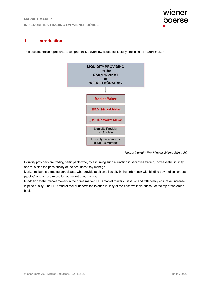## **1 Introduction**

This documentaion represents a comprehensive overview about the liquidity providing as marekt maker.



*Figure: Liquidity Providing of Wiener Börse AG* 

Liquidity providers are trading participants who, by assuming such a function in securities trading, increase the liquidity and thus also the price quality of the securities they manage.

Market makers are trading participants who provide additional liquidity in the order book with binding buy and sell orders (quotes) and ensure execution at market-driven prices.

In addition to the market makers in the prime market, BBO market makers (Best Bid and Offer) may ensure an increase in price quality. The BBO market maker undertakes to offer liquidity at the best available prices - at the top of the order book.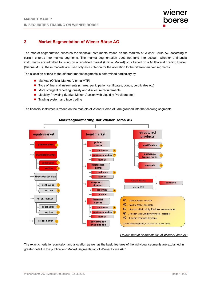## **2 Market Segmentation of Wiener Börse AG**

The market segmentation allocates the financial instruments traded on the markets of Wiener Börse AG according to certain criteras into market segments. The market segmentation does not take into account whether a financial instruments are admitted to listing on a regulated market (Official Market) or is traded on a Multilateral Trading System (Vienna MTF).; these markets are used only as a criterion for the allocation to the different market segments.

The allocation criteria to the different market segments is determined particulary by

- Markets (Official Market, Vienna MTF)
- Type of financial instruments (shares, participation certificates, bonds, certificates etc)
- More stringent reporting, quality and disclosure requirements
- Liquidity Providing (Market Maker, Auction with Liquidity Providers etc.)
- Trading system and type trading

The financial instruments traded on the markets of Wiener Börse AG are grouped into the following segments:



#### Marktsegmentierung der Wiener Börse AG

#### *Figure: Market Segmentation of Wiener Börse AG*

The exact criteria for admission and allocation as well as the basic features of the individual segments are explained in greater detail in the publication "Market Segmentation of Wiener Börse AG".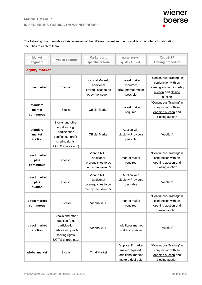The following chart provides a brief overview of the different market segments and lists the criteria for allocating securities to each of them:

| <b>Market</b><br>Type of security<br>segment          |                                                                                                                                     | <b>Markets and</b><br>specific criteria                                        | <b>Market Maker /</b><br><b>Liquidity Provision</b>                                      | Xetra <sup>®</sup> T7<br><b>Trading procedure</b>                                                             |  |  |  |  |  |
|-------------------------------------------------------|-------------------------------------------------------------------------------------------------------------------------------------|--------------------------------------------------------------------------------|------------------------------------------------------------------------------------------|---------------------------------------------------------------------------------------------------------------|--|--|--|--|--|
|                                                       | equity market                                                                                                                       |                                                                                |                                                                                          |                                                                                                               |  |  |  |  |  |
| prime market                                          | <b>Stocks</b>                                                                                                                       | Official Market;<br>additional<br>prerequisites to be<br>met by the issuer *1) | market maker<br>required;<br><b>BBO-market maker</b><br>possible                         | "Continuous Trading" in<br>conjunction with an<br>opening auction, intraday<br>auction and closing<br>auction |  |  |  |  |  |
| standard<br>market<br>continuous                      | <b>Stocks</b>                                                                                                                       | <b>Official Market</b>                                                         | market maker<br>required                                                                 | "Continuous Trading" in<br>conjunction with an<br>opening auction and<br>closing auction                      |  |  |  |  |  |
| standard<br>market<br>auction                         | Stocks and other<br>equities (e.g.<br>participation<br>certificates, profit-<br>sharing rights,<br>UCITS shares etc.)               | <b>Official Market</b>                                                         | Auction with<br><b>Liquidity Providers</b><br>possible                                   | "Auction"                                                                                                     |  |  |  |  |  |
| direct market<br>plus<br>continuous                   | <b>Stocks</b>                                                                                                                       | Vienna MTF;<br>additional<br>prerequisites to be<br>met by the issuer *2)      | market maker<br>required                                                                 | "Continuous Trading" in<br>conjunction with an<br>opening auction and<br>closing auction                      |  |  |  |  |  |
| direct market<br>plus<br>auction                      | <b>Stocks</b>                                                                                                                       | Vienna MTF;<br>additional<br>prerequisites to be<br>met by the issuer *2)      | Auction with<br><b>Liquidity Providers</b><br>desirable                                  | "Auction"                                                                                                     |  |  |  |  |  |
| direct market<br>continuous                           | <b>Stocks</b>                                                                                                                       | Vienna MTF                                                                     | market maker<br>required                                                                 | "Continuous Trading" in<br>conjunction with an<br>opening auction and<br>closing auction                      |  |  |  |  |  |
| direct market<br>auction                              | Stocks and other<br>equities (e.g.<br>participation<br>Vienna MTF<br>certificates, profit-<br>sharing rights,<br>UCITS shares etc.) |                                                                                | additional market<br>makers possible                                                     | "Auction"                                                                                                     |  |  |  |  |  |
| global market<br><b>Stocks</b><br><b>Thrid Market</b> |                                                                                                                                     | "applicant" market<br>maker required,<br>additional market<br>makers desirable | "Continuous Trading" in<br>conjunction with an<br>opening auction and<br>closing auction |                                                                                                               |  |  |  |  |  |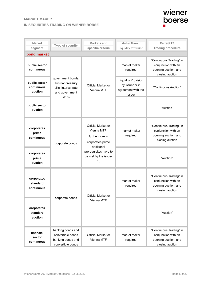## **MARKET MAKER IN SECURITIES TRADING ON WIENER BÖRSE**



| <b>Market</b><br>Type of security                    |                                                                                            | <b>Markets and</b>                                                                    | Market Maker /                                                                | Xetra <sup>®</sup> T7                                                                     |  |  |
|------------------------------------------------------|--------------------------------------------------------------------------------------------|---------------------------------------------------------------------------------------|-------------------------------------------------------------------------------|-------------------------------------------------------------------------------------------|--|--|
| segment                                              |                                                                                            | specific criteria                                                                     | <b>Liquidity Provision</b>                                                    | <b>Trading procedure</b>                                                                  |  |  |
| <b>bond market</b>                                   |                                                                                            |                                                                                       |                                                                               |                                                                                           |  |  |
| public sector<br>continuous                          |                                                                                            |                                                                                       | market maker<br>required                                                      | "Continuous Trading" in<br>conjunction with an<br>opening auction, and<br>closing auction |  |  |
| public sector<br>continuous<br>auction               | government bonds,<br>austrian treasury<br>bills, interest rate<br>and government<br>strips | Official Market or<br>Vienna MTF                                                      | <b>Liquidity Provision</b><br>by issuer or in<br>agreement with the<br>issuer | "Continuous Auction"                                                                      |  |  |
| public sector<br>auction                             |                                                                                            |                                                                                       |                                                                               | "Auction"                                                                                 |  |  |
| corporates<br>prime<br>continuous<br>corporate bonds |                                                                                            | Official Market or<br>Vienna MTF;<br>furthermore in<br>corporates prime<br>additional | market maker<br>required                                                      | "Continuous Trading" in<br>conjunction with an<br>opening auction, and<br>closing auction |  |  |
| corporates<br>prime<br>auction                       |                                                                                            | prerequisites have to<br>be met by the issuer<br>*3)                                  |                                                                               | "Auction"                                                                                 |  |  |
| corporates<br>standard<br>continuous                 | <b>Official Market or</b>                                                                  |                                                                                       | market maker<br>required                                                      | "Continuous Trading" in<br>conjunction with an<br>opening auction, and<br>closing auction |  |  |
| corporates<br>standard<br>auction                    | corporate bonds                                                                            | Vienna MTF                                                                            |                                                                               | "Auction"                                                                                 |  |  |
| financial<br>sector<br>continuous                    | banking bonds and<br>convertible bonds<br>banking bonds and<br>convertible bonds           | <b>Official Market or</b><br>Vienna MTF                                               | market maker<br>required                                                      | "Continuous Trading" in<br>conjunction with an<br>opening auction, and<br>closing auction |  |  |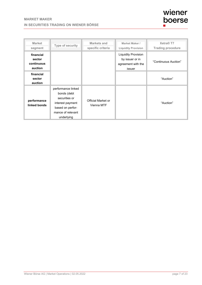| wiener |
|--------|
| boerse |
| . .    |

| <b>Market</b><br>segment                     | Type of security                                                                                                              | Markets and<br>specific criteria | Market Maker /<br><b>Liquidity Provision</b>                                  | Xetra <sup>®</sup> T7<br><b>Trading procedure</b> |
|----------------------------------------------|-------------------------------------------------------------------------------------------------------------------------------|----------------------------------|-------------------------------------------------------------------------------|---------------------------------------------------|
| financial<br>sector<br>continuous<br>auction |                                                                                                                               |                                  | <b>Liquidity Provision</b><br>by issuer or in<br>agreement with the<br>issuer | "Continuous Auction"                              |
| financial<br>sector<br>auction               |                                                                                                                               |                                  |                                                                               | "Auction"                                         |
| performance<br>linked bonds                  | performance linked<br>bonds (debt<br>securities or<br>interest payment<br>based on perfor-<br>mance of relevant<br>underlying | Official Market or<br>Vienna MTF |                                                                               | "Auction"                                         |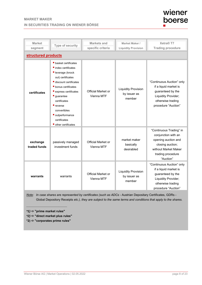## **MARKET MAKER IN SECURITIES TRADING ON WIENER BÖRSE**



| <b>Market</b><br>segment | Type of security                                                                                                                                                                                                                                                                                                                      | Markets and<br>specific criteria | Market Maker /<br><b>Liquidity Provision</b>         | Xetra <sup>®</sup> T7<br><b>Trading procedure</b>                                                                                                   |  |  |  |
|--------------------------|---------------------------------------------------------------------------------------------------------------------------------------------------------------------------------------------------------------------------------------------------------------------------------------------------------------------------------------|----------------------------------|------------------------------------------------------|-----------------------------------------------------------------------------------------------------------------------------------------------------|--|--|--|
| structured products      |                                                                                                                                                                                                                                                                                                                                       |                                  |                                                      |                                                                                                                                                     |  |  |  |
| certificates             | <b>basket certificates</b><br>$\blacksquare$ index certificates<br>leverage (knock<br>out) certificates<br>discount certificates<br>bonus certificates<br>$\blacksquare$ express certificates<br>$\blacksquare$ guarantee<br>certificates<br>reverse<br>convertibles<br>outperformance<br>certificates<br><b>d</b> other certificates | Official Market or<br>Vienna MTF | <b>Liquidity Provision</b><br>by issuer as<br>member | "Continuous Auction" only<br>if a liquid market is<br>guaranteed by the<br>Liquidity Provider;<br>otherwise trading<br>procedure "Auction"          |  |  |  |
| exchange<br>traded funds | passively managed<br>investment funds                                                                                                                                                                                                                                                                                                 | Official Market or<br>Vienna MTF | market maker<br>basically<br>desirabled              | "Continuous Trading" in<br>conjunction with an<br>opening auction and<br>closing auction;<br>without Market Maker<br>trading procedure<br>"Auction" |  |  |  |
| warrants                 | warrants                                                                                                                                                                                                                                                                                                                              | Official Market or<br>Vienna MTF | <b>Liquidity Provision</b><br>by issuer as<br>member | "Continuous Auction" only<br>if a liquid market is<br>guaranteed by the<br>Liquidity Provider;<br>otherwise trading<br>procedure "Auction"          |  |  |  |

*Note: In case shares are represented by certificates (such as ADCs -* Austrian Depositary Certificates, GDRs - Global Depository Receipts *etc.), they are subject to the same terms and conditions that apply to the shares.*

*\_\_\_\_\_\_\_\_\_\_\_\_\_\_\_\_\_\_\_\_\_\_\_\_ \*1)*  **"prime market rules"** 

*\*2)*  **"direct market plus rules"** 

**\*2) "corporates prime rules"**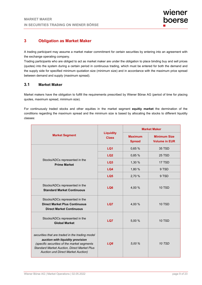## **3 Obligation as Market Maker**

A trading participant may assume a market maker commitment for certain securities by entering into an agreement with the exchange operating company.

Trading participants who are obliged to act as market maker are under the obligation to place binding buy and sell prices (quotes) into the system during a certain period in continuous trading, which must be entered for both the demand and the supply side for specified minimum quotation size (minimum size) and in accordance with the maximum price spread between demand and supply (maximum spread).

### **3.1 Market Maker**

Market makers have the obligation to fulfill the requirements prescribed by Wiener Börse AG (period of time for placing quotes, maximum spread, minimum size).

For continuously traded stocks and other equities in the market segment **equitiy market** the dermination of the conditions regarding the maximum spread and the minimum size is based by allocating the stocks to different liquidity classes:

|                                                                                                                                                                                                                                       |                                  | <b>Market Maker</b>             |                                             |  |  |
|---------------------------------------------------------------------------------------------------------------------------------------------------------------------------------------------------------------------------------------|----------------------------------|---------------------------------|---------------------------------------------|--|--|
| <b>Market Segment</b>                                                                                                                                                                                                                 | <b>Liquidity</b><br><b>Class</b> | <b>Maximum</b><br><b>Spread</b> | <b>Minimum Size</b><br><b>Volume in EUR</b> |  |  |
|                                                                                                                                                                                                                                       | LQ1                              | 0,65 %                          | 35 TSD                                      |  |  |
|                                                                                                                                                                                                                                       | LQ <sub>2</sub>                  | 0,85 %                          | <b>25 TSD</b>                               |  |  |
| Stocks/ADCs represented in the<br><b>Prime Market</b>                                                                                                                                                                                 | LQ <sub>3</sub>                  | 1,30 %                          | 17 TSD                                      |  |  |
|                                                                                                                                                                                                                                       | LQ4                              | 1,80 %                          | 9 TSD                                       |  |  |
|                                                                                                                                                                                                                                       | LQ <sub>5</sub>                  | 2,70 %                          | 9 TSD                                       |  |  |
| Stocks/ADCs represented in the<br><b>Standard Market Continuous</b>                                                                                                                                                                   | LQ6                              | 4,00 %                          | <b>10 TSD</b>                               |  |  |
| Stocks/ADCs represented in the<br><b>Direct Market Plus Continuous</b><br><b>Direct Market Continuous</b>                                                                                                                             | LQ7                              | 4,00 %                          | <b>10 TSD</b>                               |  |  |
| Stocks/ADCs represented in the<br><b>Global Market</b>                                                                                                                                                                                | LQ7                              | 5,00 %                          | <b>10 TSD</b>                               |  |  |
| securities that are traded in the trading model<br>auction with liquidity provision<br>(specific securities of the market segments<br><b>Standard Market Auction, Direct Market Plus</b><br><b>Auction und Direct Market Auction)</b> | LO <sub>8</sub>                  | 5.00 %                          | <b>10 TSD</b>                               |  |  |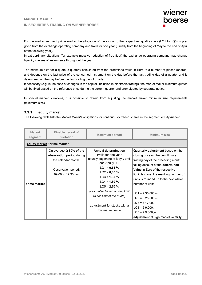For the market segment prime market the allocation of the stocks to the respective liquidity class (LQ1 to LQ5) is pregiven from the exchange operating company and fixed for one year (usually from the beginning of May to the end of April of the following year).

In extraordinary situations (for example massive reduction of free float) the exchange operating company may change liquidity classes of instruments throughout the year.

The minimum size for a quote is quaterly calculated from the predefined value in Euro to a number of pieces (shares) and depends on the last price of the concerned instrument on the day before the last trading day of a quarter and is determined on the day before the last trading day of quarter.

If necessary (e.g .in the case of changes in the capital, inclusion in electronic trading), the market maker minimum quotes will be fixed based on the reference price during the current quarter and promulgated by separate notice.

In special market situations, it is possible to refrain from adjusting the market maker minimum size requirements (minimum size).

#### **3.1.1 equity market**

The following table lists the Market Maker's obligations for continuously traded shares in the segment *equity market*:

| <b>Market</b><br>segment | Finable period of<br>quotation                                                                                                  | <b>Maximum spread</b>                                                                                                                                                                                                                                                                                                         | Minimum size                                                                                                                                                                                                                                                                                                                                                                                                                                                                                                       |  |  |  |  |  |
|--------------------------|---------------------------------------------------------------------------------------------------------------------------------|-------------------------------------------------------------------------------------------------------------------------------------------------------------------------------------------------------------------------------------------------------------------------------------------------------------------------------|--------------------------------------------------------------------------------------------------------------------------------------------------------------------------------------------------------------------------------------------------------------------------------------------------------------------------------------------------------------------------------------------------------------------------------------------------------------------------------------------------------------------|--|--|--|--|--|
|                          | equity market / prime market                                                                                                    |                                                                                                                                                                                                                                                                                                                               |                                                                                                                                                                                                                                                                                                                                                                                                                                                                                                                    |  |  |  |  |  |
| prime market             | On average, $\geq 80\%$ of the<br>observation period during<br>the calendar month.<br>Observation period:<br>09:00 to 17:30 hrs | <b>Annual determination</b><br>(valid for one year<br>usually beginning of May y until<br>end April $y+1$ ):<br>$LQ1 = 0,65%$<br>$LQ2 = 0,85%$<br>$LQ3 = 1,30%$<br>$LQ4 = 1,80%$<br>$LQ5 = 2,70%$<br>(calculated based on buy limit<br>to sell limit of the quote)<br><b>adjustment</b> for stocks with a<br>low market value | Quarterly adjustment based on the<br>closing price on the penultimate<br>trading day of the preceding month<br>taking account of the <b>determined</b><br>Value in Euro of the respective<br>liquidity class; the resulting number of<br>units is rounded up to the next whole<br>number of units:<br>$LQ1 = \text{\textsterling} 35.000, -$<br>$LQ2 = \text{\textsterling} 25.000$ ,--<br>$LQ3 = 617.000$<br>$LQA = \text{\textsterling} 9.000, --$<br>$LQ5 = 69.000, -$<br>adjustment at high market volatility. |  |  |  |  |  |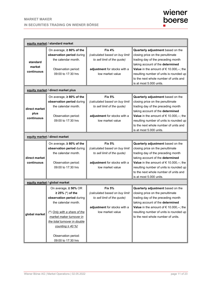|                                     | equity market / standard market                                                                                                                                                                                                                                           |                                                                                                                                    |                                                                                                                                                                                                                                                                                                                    |  |  |  |  |
|-------------------------------------|---------------------------------------------------------------------------------------------------------------------------------------------------------------------------------------------------------------------------------------------------------------------------|------------------------------------------------------------------------------------------------------------------------------------|--------------------------------------------------------------------------------------------------------------------------------------------------------------------------------------------------------------------------------------------------------------------------------------------------------------------|--|--|--|--|
| standard<br>market<br>continuous    | On average, $\geq 80\%$ of the<br>observation period during<br>the calendar month.<br>Observation period:<br>09:00 to 17:30 hrs                                                                                                                                           | <b>Fix 4%</b><br>(calculated based on buy limit<br>to sell limit of the quote)<br>adjustment for stocks with a<br>low market value | Quarterly adjustment based on the<br>closing price on the penultimate<br>trading day of the preceding month<br>taking account of the determined<br>Value in the amount of $\epsilon$ 10.000,--; the<br>resulting number of units is rounded up<br>to the next whole number of units and<br>is at most 5.000 units. |  |  |  |  |
|                                     | equity market / direct market plus                                                                                                                                                                                                                                        |                                                                                                                                    |                                                                                                                                                                                                                                                                                                                    |  |  |  |  |
| direct market<br>plus<br>continuous | On average, ≥80% of the<br>observation period during<br>the calendar month.<br>Observation period:<br>09:00 to 17:30 hrs                                                                                                                                                  | <b>Fix 5%</b><br>(calculated based on buy limit<br>to sell limit of the quote)<br>adjustment for stocks with a<br>low market value | Quarterly adjustment based on the<br>closing price on the penultimate<br>trading day of the preceding month<br>taking account of the determined<br>Value in the amount of $\epsilon$ 10.000,--; the<br>resulting number of units is rounded up<br>to the next whole number of units and<br>is at most 5.000 units. |  |  |  |  |
| equity market / direct market       |                                                                                                                                                                                                                                                                           |                                                                                                                                    |                                                                                                                                                                                                                                                                                                                    |  |  |  |  |
| direct market<br>continuous         | On average, $\geq 80\%$ of the<br>observation period during<br>the calendar month.<br>Observation period:<br>09:00 to 17:30 hrs                                                                                                                                           | <b>Fix 5%</b><br>(calculated based on buy limit<br>to sell limit of the quote)<br>adjustment for stocks with a<br>low market value | Quarterly adjustment based on the<br>closing price on the penultimate<br>trading day of the preceding month<br>taking account of the determined<br>Value in the amount of $\epsilon$ 10.000,--; the<br>resulting number of units is rounded up<br>to the next whole number of units and<br>is at most 5.000 units. |  |  |  |  |
|                                     | equity market / global market                                                                                                                                                                                                                                             |                                                                                                                                    |                                                                                                                                                                                                                                                                                                                    |  |  |  |  |
| global market                       | On average, $\geq 50\%$ OR<br>$\geq$ 25% (*) of the<br>observation period during<br>the calendar month.<br>(*) Only with a share of the<br>market maker turnover in<br>the total turnover in double<br>counting $\geq$ 40 %!<br>Observation period:<br>09:00 to 17:30 hrs | <b>Fix 5%</b><br>(calculated based on buy limit<br>to sell limit of the quote)<br>adjustment for stocks with a<br>low market value | Quarterly adjustment based on the<br>closing price on the penultimate<br>trading day of the preceding month<br>taking account of the determined<br>Value in the amount of $\epsilon$ 10.000,--; the<br>resulting number of units is rounded up<br>to the next whole number of units.                               |  |  |  |  |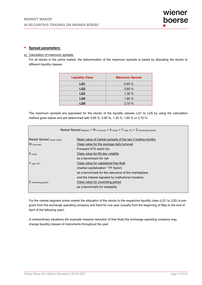#### **Spread parameters:**

#### a) Calculation of maximum spreads:

For all stocks in the prime market, the determination of the maximum spreads is based by allocating the stocks to different liquidity classes:

| <b>Liquidity Class</b> | <b>Maximum Spread</b> |
|------------------------|-----------------------|
| LQ1                    | 0,65 %                |
| LQ <sub>2</sub>        | 0,85%                 |
| LQ <sub>3</sub>        | 1,30 %                |
| LQ4                    | 1,80 %                |
| LQ5                    | 2,70 %                |

The maximum spreads are appraised for the stocks of the liquidity classes LQ1 to LQ5 by using the calculation method given below and are determined with 0,65 %, 0,85 %, 1,30 %, 1,80 % or 2,70 %:

| Market Spread (Median) + W (Turnover) + X (Vola) + Y (kap. FF) + Z (Unwinding Period) |                                                           |  |  |  |  |  |
|---------------------------------------------------------------------------------------|-----------------------------------------------------------|--|--|--|--|--|
| Market Spread (mean value)                                                            | Mean value of market spreads of the last 3 trading months |  |  |  |  |  |
| W (turnover)                                                                          | Class value for the average daily turnover                |  |  |  |  |  |
|                                                                                       | Pursuant ATX watch list                                   |  |  |  |  |  |
| Class value for 60-day volatility<br>$X$ (vola)                                       |                                                           |  |  |  |  |  |
|                                                                                       | as a benchmark for risk                                   |  |  |  |  |  |
| $Y$ (cap. FF)                                                                         | Class value for capitalized free float                    |  |  |  |  |  |
|                                                                                       | (market capitalization * FF factor)                       |  |  |  |  |  |
|                                                                                       | as a benchmark for the relevance of the marketplace       |  |  |  |  |  |
|                                                                                       | and the interest signaled by institutional investors      |  |  |  |  |  |
| $\angle$ (unwinding period)                                                           | Class value for unwinding period                          |  |  |  |  |  |
|                                                                                       | as a benchmark for tradability                            |  |  |  |  |  |
|                                                                                       |                                                           |  |  |  |  |  |

For the market segment prime market the allocation of the stocks to the respective liquidity class (LQ1 to LQ5) is pregiven from the exchange operating company and fixed for one year (usually from the beginning of May to the end of April of the following year).

In extraordinary situations (for example massive reduction of free float) the exchange operating company may change liquidity classes of instruments throughout the year.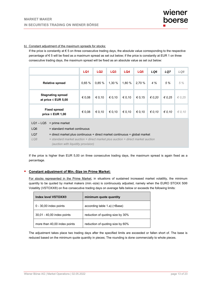#### b) Constant adjustment of the maximum spreads for stocks:

If the price is constantly at  $\epsilon$  5 on three consecutive trading days, the absolute value corresponding to the respective percentage of € 5 will be fixed as a maximum spread as set out below; if the price is constantly at EUR 1 on three consecutive trading days, the maximum spread will be fixed as an absolute value as set out below:

|                                                      |                                                                                                                                   | LQ1    | LQ <sub>2</sub> | LQ <sub>3</sub> | LQ4    | LQ5    | LQ6             | LQ7             | LQ8             |
|------------------------------------------------------|-----------------------------------------------------------------------------------------------------------------------------------|--------|-----------------|-----------------|--------|--------|-----------------|-----------------|-----------------|
|                                                      | <b>Relative spread</b>                                                                                                            | 0.65%  | 0.85%           | 1,30%           | 1,80 % | 2,70 % | 4%              | 5 %             | 5%              |
| <b>Stagnating spread</b><br>at price $\leq$ EUR 5,00 |                                                                                                                                   | € 0,08 | € 0,10          | € 0,10          | € 0,10 | € 0,15 | $\epsilon$ 0,20 | $\epsilon$ 0.25 | $\epsilon$ 0,25 |
| <b>Fixed spread</b><br>price $\leq$ EUR 1,00         |                                                                                                                                   | € 0,08 | € 0,10          | € 0,10          | € 0,10 | € 0,10 | € 0.10          | $\epsilon$ 0.10 | $\epsilon$ 0,10 |
|                                                      | $LQ1 - LQ5$ = prime market                                                                                                        |        |                 |                 |        |        |                 |                 |                 |
| LQ6                                                  | $=$ standard market continuous                                                                                                    |        |                 |                 |        |        |                 |                 |                 |
| LQ7                                                  | $=$ direct market plus continuous + direct market continuous + global market                                                      |        |                 |                 |        |        |                 |                 |                 |
| LQ8                                                  | $=$ standard market auction $+$ direct market plus auction $+$ direct market auction<br><i>(auction with liquidity provision)</i> |        |                 |                 |        |        |                 |                 |                 |

If the price is higher than EUR 5,00 on three consecutive trading days, the maximum spread is again fixed as a percentage.

#### **Constant adjustment of Min.-Size im Prime Market:**

For stocks represented in the Prime Market, in situations of sustained increased market volatility, the minimum quantity to be quoted by market makers (min.-size) is continuously adjusted, namely when the EURO STOXX 50® Volatility (VSTOXX®) on five consecutive trading days on average falls below or exceeds the following limits:

| Index level VSTOXX®          | minimum quote quantity           |
|------------------------------|----------------------------------|
| $0 - 30,00$ index points     | according table 1.a) (=Base)     |
| 30,01 - 40,00 index points   | reduction of quoting size by 30% |
| more than 40,00 index points | reduction of quoting size by 60% |

The adjustment takes place two trading days after the specified limits are exceeded or fallen short of. The base is reduced based on the minimum quote quantity in pieces; The rounding is done commercially to whole pieces.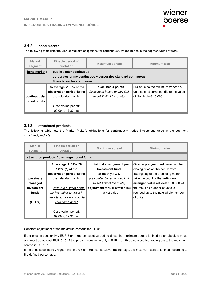#### **3.1.2 bond market**

The following table lists the Market Maker's obligations for continuously traded bonds in the segment *bond market*.

| <b>Market</b><br>segment                                                                                                                                        | Finable period of<br>quotation | <b>Maximum spread</b>                                                                 | Minimum size                                                                                                      |  |
|-----------------------------------------------------------------------------------------------------------------------------------------------------------------|--------------------------------|---------------------------------------------------------------------------------------|-------------------------------------------------------------------------------------------------------------------|--|
| bond market /<br>public sector continuous<br>corporates prime continuous + corporates standard continuous<br>financial sector continuous                        |                                |                                                                                       |                                                                                                                   |  |
| On average, $\geq 80\%$ of the<br>observation period during<br>the calendar month.<br>continuously<br>traded bonds<br>Observation period:<br>09:00 to 17:30 hrs |                                | FIX 500 basis points<br>(calculated based on buy limit<br>to sell limit of the quote) | <b>FIX</b> equal to the minimum tradeable<br>unit, at least correspondig to the value<br>of Nominale € 10.000.,-- |  |

#### **3.1.3 structured products**

The following table lists the Market Maker's obligations for continuously traded investment funds in the segment *structured products*.

| <b>Market</b><br>segment | Finable period of<br>quotation                                                  | <b>Maximum spread</b>                                               | Minimum size                                                                                                       |  |
|--------------------------|---------------------------------------------------------------------------------|---------------------------------------------------------------------|--------------------------------------------------------------------------------------------------------------------|--|
|                          | structured products / exchange traded funds                                     |                                                                     |                                                                                                                    |  |
|                          | On average, $\geq$ 50% OR<br>$\geq$ 25% (*) of the<br>observation period during | Individual arrangement per<br>Investment fund;<br>at most yet $3\%$ | <b>Quarterly adjustment</b> based on the<br>closing price on the penultimate<br>trading day of the preceding month |  |
| passively                | the calendar month.                                                             | (calculated based on buy limit                                      | taking account of the <b>individual</b>                                                                            |  |
| managed                  |                                                                                 | to sell limit of the quote)                                         | arranged Value (at least $\in$ 30.000,--);                                                                         |  |
| investment               | (*) Only with a share of the                                                    | adjustment for ETFs with a low                                      | the resulting number of units is                                                                                   |  |
| funds                    | market maker turnover in                                                        | market value                                                        | rounded up to the next whole number                                                                                |  |
|                          | the total turnover in double                                                    |                                                                     | of units.                                                                                                          |  |
| (ETF's)                  | counting $\geq$ 40 %!                                                           |                                                                     |                                                                                                                    |  |
|                          |                                                                                 |                                                                     |                                                                                                                    |  |
|                          | Observation period:                                                             |                                                                     |                                                                                                                    |  |
|                          | 09:00 to 17:30 hrs                                                              |                                                                     |                                                                                                                    |  |

Constant adjustment of the maximum spreads for ETFs:

If the price is constantly  $\leq$  EUR 5 on three consecutive trading days, the maximum spread is fixed as an absolute value and must be at least EUR 0,15; if the price is constantly only ≤ EUR 1 on three consecutive trading days, the maximum spread is EUR 0.10.

If the price is constantly higher than EUR 5 on three consecutive trading days, the maximum spread is fixed according to the defined percentage.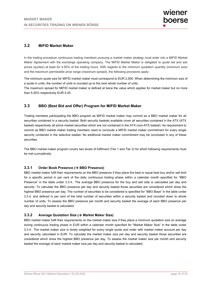## **3.2 MiFID Market Maker**

In the trading procedure continuous trading members pursuing a market maker strategy must enter into a MiFID Market Maker Agreement with the exchange operating company. The MiFID Market Maker is obligated to quote bid and ask prices (quotes) at least for *≥* 50% of the trading hours. With regards to the minimum quotation quantity (minimum size) and the maximum permissible price range (maximum spread), the following provisions apply:

The minimum quote size for MiFID market maker must correspond to EUR 2,500. When determining the minimum size of a quote in units, the number of units is rounded up to the next whole number of units.

The maximum spread for MiFID market maker is defined at twice the value which applies for market maker but no more than 5.00% respectively EUR 0.25.

## **3.3 BBO (Best Bid and Offer) Program for MiFID Market Maker**

Trading members participating the BBO program as MiFID market maker may commit as a BBO market maker for all securities contained in a security basket. Both security baskets available cover all securities contained in the ATX (ATX basket) respectively all prime market securities which are not contained in the ATX (non-ATX basket). As requirement to commit as BBO market maker trading members need to conclude a MiFID market maker commitment for every single security contained in the selective basket. No additional market maker commitment may be concluded in any of these securities.

The BBO market maker program covers two levels of fulfilment (Tier 1 and Tier 2) for which following requirements must be met cumulatively:

#### **3.3.1 Order Book Presence ( BBO Presence)**

BBO market maker fulfil their requirements on the BBO presence if they place the best or equal best buy and/or sell limit for a specific period in per cent of the daily continuous trading phase within a calendar month specified for "BBO Presence" in the table under 3.3.4.. The average BBO presence for the buy and sell side is calculated per day and security. To calculate the BBO presence per day and security basket those securities are considered which show the highest BBO presence per day. The number of securities to be considered is specified for "BBO Base" in the table under 3.3.4. and defined in per cent of the total number of securities within a security basket and rounded down to whole number of units. To assess the BBO presence per month and security basket the average of each BBO presence per day and security basket is calculated.

#### **3.3.2 Average Quotation Size ( Market Maker Size)**

BBO market maker fulfil their requirements on the market maker size if they place a minimum quotation size on average during continuous trading phase in EUR within a calendar month specified for "Market Maker Size" in the table under 3.3.4.. The market maker size is timely weighted for every single quote and order with market maker account per day and security calculated in EUR. To calculate the market maker size per day and security basket those securities are considered which show the highest BBO presence per day. To assess the market maker size per month and security basket the average of each market maker size per day and security basket is calculated.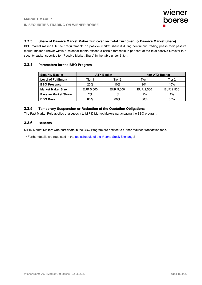#### **3.3.3 Share of Passive Market Maker Turnover on Total Turnover ( Passive Market Share)**

BBO market maker fulfil their requirements on passive market share if during continuous trading phase their passive market maker turnover within a calendar month exceed a certain threshold in per cent of the total passive turnover in a security basket specified for "Passive Market Share" in the table under 3.3.4..

#### **3.3.4 Parameters for the BBO Program**

| <b>Security Basket</b>      | <b>ATX Basket</b> |           | non-ATX Basket |           |
|-----------------------------|-------------------|-----------|----------------|-----------|
| <b>Level of Fulfilment</b>  | Tier 1            | Tier 2    | Tier 1         | Tier 2    |
| <b>BBO Presence</b>         | 20%               | 10%       | 20%            | 10%       |
| <b>Market Maker Size</b>    | EUR 5,000         | EUR 5,000 | EUR 2,500      | EUR 2,500 |
| <b>Passive Market Share</b> | 2%                | 1%        | 2%             | 1%        |
| <b>BBO Base</b>             | 80%               | 80%       | 60%            | 60%       |

#### **3.3.5 Temporary Suspension or Reduction of the Quotation Obligations**

The Fast Market Rule applies analogously to MiFID Market Makers participating the BBO program.

#### **3.3.6 Benefits**

MiFID Market Makers who participate in the BBO Program are entitled to further reduced transaction fees.

-> Further details are regulated in the fee schedule of the Vienna Stock Exchange!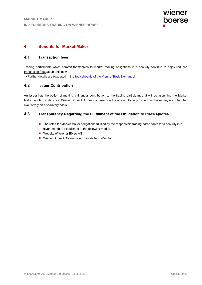## **4 Benefits for Market Maker**

#### **4.1 Transaction fees**

Trading participants which commit themselves to market making obligations in a security continue to enjoy reduced transaction fees as up until now.

-> Further details are regulated in the fee schedule of the Vienna Stock Exchange!

## **4.2 Issuer Contribution**

An issuer has the option of making a financial contribution to the trading participant that will be assuming the Market Maker function in its stock. Wiener Börse AG does not prescribe the amount to be provided, as this money is contributed exclusively on a voluntary basis.

#### **4.3 Transparency Regarding the Fulfillment of the Obligation to Place Quotes**

- The rates for Market Maker obligations fulfilled by the responsible trading participants for a security in a given month are published in the following media:
- Website of Wiener Börse AG
- Wiener Börse AG's electronic newsletter E-Monitor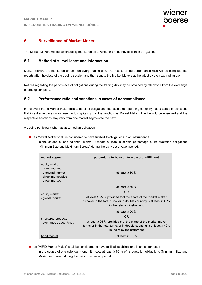## **5 Surveillance of Market Maker**

The Market Makers will be continuously monitored as to whether or not they fulfill their obligations.

## **5.1 Method of surveillance and Information**

Market Makers are monitored ex post on every trading day. The results of the performance ratio will be compiled into reports after the close of the trading session and then sent to the Market Makers at the latest by the next trading day.

Notices regarding the performace of obligations during the trading day may be obtained by telephone from the exchange operating company.

## **5.2 Performance ratio and sanctions in cases of noncompliance**

In the event that a Market Maker fails to meet its obligations, the exchange operating company has a series of sanctions that in extreme cases may result in losing its right to the function as Market Maker. The limits to be observed and the respective sanctions may vary from one market segment to the next.

A trading participant who has assumed an obligation

**a** as Market Maker shall be considered to have fulfilled its obligations in an instrument if

in the course of one calendar month, it meets at least a certain percentage of its quotation obligations (Minimum Size and Maximum Spread) during the daily observation period:

| market segment                                                                                  | percentage to be used to measure fulfillment                                                                                                                                |  |  |
|-------------------------------------------------------------------------------------------------|-----------------------------------------------------------------------------------------------------------------------------------------------------------------------------|--|--|
| equity market<br>- prime market<br>- standard market<br>- direct market plus<br>- direct market | at least $\geq 80\%$                                                                                                                                                        |  |  |
| equity market<br>- global market                                                                | at least $\geq$ 50 %                                                                                                                                                        |  |  |
|                                                                                                 | OR.                                                                                                                                                                         |  |  |
|                                                                                                 | at least $\geq$ 25 % provided that the share of the market maker<br>turnover in the total turnover in double counting is at least $\geq 40\%$<br>in the relevant instrument |  |  |
| structured products<br>- exchange traded funds                                                  | at least $\geq 50$ %                                                                                                                                                        |  |  |
|                                                                                                 | <b>OR</b>                                                                                                                                                                   |  |  |
|                                                                                                 | at least $\geq$ 25 % provided that the share of the market maker<br>turnover in the total turnover in double counting is at least $\geq 40\%$<br>in the relevant instrument |  |  |
| bond market                                                                                     | at least $\geq 80\%$                                                                                                                                                        |  |  |

**a** as "MiFID Market Maker" shall be considered to have fulfilled its obligations in an instrument if in the course of one calendar month, it meets at least ≥ 50 % of its quotation obligations (Minimum Size and Maximum Spread) during the daily observation period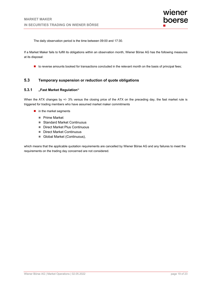The daily observation period is the time between 09:00 and 17:30.

If a Market Maker fails to fulfill its obligations within an observation month, Wiener Börse AG has the following measures at its disposal:

to reverse amounts booked for transactions concluded in the relevant month on the basis of principal fees;

#### **5.3 Temporary suspension or reduction of quote obligations**

#### **5.3.1 "Fast Market Regulation"**

When the ATX changes by  $+/- 3\%$  versus the closing price of the ATX on the preceding day, the fast market rule is triggered for trading members who have assumed market maker commitments

- $\blacksquare$  in the market segments
	- **Prime Market**
	- Standard Market Continuous
	- Direct Market Plus Continuous
	- Direct Market Continuous
	- Global Market (Continuous),

which means that the applicable quotation requirements are cancelled by Wiener Börse AG and any failures to meet the requirements on the trading day concerned are not considered.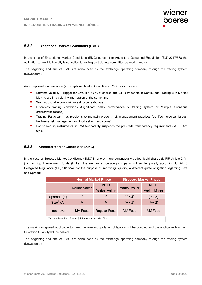#### **5.3.2 Exceptional Market Conditions (EMC)**

In the case of Exceptional Market Conditions (EMC) pursuant to Art. a to e Delegated Regulation (EU) 2017/578 the obligation to provide liquidity is cancelled to trading participants committed as market maker.

The beginning and end of EMC are announced by the exchange operating company through the trading system (Newsboard).

An exceptional circumstance (= Exceptional Market Condition - EMC) is for instance:

- **EXTREM** Extreme volatility Trigger for EMC if > 50 % of shares and ETFs tradeable in Continuous Trading with Market Making are in a volatility interruption at the same time
- War, industrial action, civil unrest, cyber sabotage
- **Disorderly trading conditions (Significant delay performance of trading system or Multiple erroneous** orders/transactions)
- **Trading Participant has problems to maintain prudent risk management practices (eg Technological issues,** Problems risk management or Short selling restrictions)
- For non-equity instruments, if FMA temporarily suspends the pre-trade transparency requirements (MiFIR Art. 9(4))

#### **5.3.3 Stressed Market Conditions (SMC)**

In the case of Stressed Market Conditions (SMC) in one or more continuously traded liquid shares (MiFIR Article 2 (1) (17)) or liquid investment funds (ETFs), the exchange operating company will set temporally according to Art. 6 Delegated Regulation (EU) 2017/578 for the purpose of improving liquidity, a different quote obligation regarding Size and Spread:

|                                                         | <b>Normal Market Phase</b> |                     | <b>Stressed Market Phase</b> |                |
|---------------------------------------------------------|----------------------------|---------------------|------------------------------|----------------|
|                                                         | <b>Market Maker</b>        | <b>MiFID</b>        | <b>Market Maker</b>          | <b>MiFID</b>   |
|                                                         |                            | <b>Market Maker</b> |                              | Market Maker   |
| Spread $(Y)$                                            |                            | Y                   | $(Y \times 2)$               | $(Y \times 2)$ |
| Size <sup>2</sup> (A)                                   | A                          | A                   | $(A \div 2)$                 | $(A \div 2)$   |
| <b>Incentive</b>                                        | <b>MM</b> Fees             | <b>Regular Fees</b> | <b>MM</b> Fees               | <b>MM</b> Fees |
| 1 Y = committed Max. Spread   2 A = committed Min. Size |                            |                     |                              |                |

The maximum spread applicable to meet the relevant quotation obligation will be doubled and the applicable Minimum Quotation Quantity will be halved.

The beginning and end of SMC are announced by the exchange operating company through the trading system (Newsboard).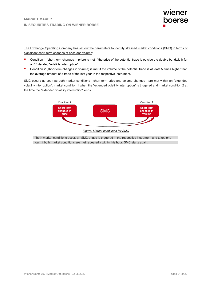The Exchange Operating Company has set out the parameters to identify stressed market conditions (SMC) in terms of significant short-term changes of price and volume:

- **Condition 1 (short-term changes in price) is met if the price of the potential trade is outside the double bandwidth for** an "Extended Volatility Interruption".
- **Condition 2 (short-term changes in volume) is met if the volume of the potential trade is at least 5 times higher than** the average amount of a trade of the last year in the respective instrument.

SMC occurs as soon as both market conditions - short-term price and volume changes - are met within an "extended volatility interruption": market condition 1 when the "extended volatility interruption" is triggered and market condition 2 at the time the "extended volatility interruption" ends.



*Figure: Market conditions for SMC* 

If both market conditions occur, an SMC phase is triggered in the respective instrument and takes one hour. If both market conditions are met repeatedly within this hour, SMC starts again.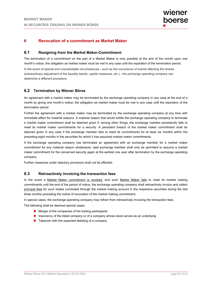## **6 Revocation of a commitment as Market Maker**

#### **6.1 Resigning from the Market Maker-Commitment**

The termination of a commitment on the part of a Market Maker is only possible at the end of the month upon one month's notice; the obligation as market maker must be met in any case until the expiration of the termination period.

In the event of special and unpredictable circumstances - such as the occurrence of events affecting the shares (extraordinary adjustment of the liquidity bands, capital measures, etc.) - the exchange operating company can determine a different procedure.

#### **6.2 Termination by Wiener Börse**

An agreement with a market maker may be terminated by the exchange operating company in any case at the end of a month by giving one month's notice; the obligation as market maker must be met in any case until the expiration of the termination period.

Further the agreement with a market maker may be terminated by the exchange operating company at any time with immedate effect for material reasons. A material reason that would entitle the exchange operating company to terminate a market maker commitment shall be deemed given if, among other things, the exchange member persistently fails to meet its market maker commitments for a security. A persistent breach of the market maker commitment shall be deemed given in any case if the exchange member fails to meet its commitments for at least six months within the preceding eight months in the securities for which it has assumed market maker commitments.

If the exchange operating company has terminated an agreement with an exchange member for a market maker commitment for any material reason whatsoever, said exchange member shall only be permitted to assume a market maker commitment for the concerned security again at the earliest one year after termination by the exchange operating company.

Further measures under statutory provisions shall not be affected.

#### **6.3 Retroactively invoicing the transaction fees**

In the event a Market Maker commitment is revoked, and such Market Maker fails to meet its market making commitments until the end of the period of notice, the exchange operating company shall retroactively invoice and collect principal fees for such trades concluded through the market making account in the respective securities during the last three months preceding the notice of revocation of the market making commitment.

In special cases, the exchange operating company may refrain from retroactively invoicing the transaction fees.

The following shall be deemed special cases:

- $\blacksquare$  Merger of the companies of the trading participants
- **Insolvency of the listed company or of a company whose stock serves as an underlying**
- $\blacksquare$  Takeover with the expected delisting of a company